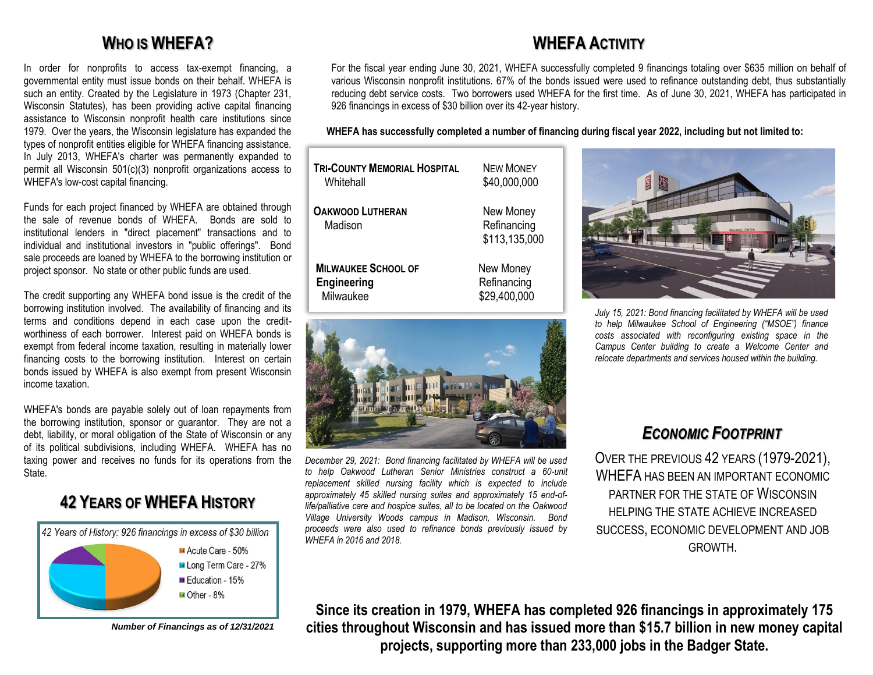#### **WHO IS WHEFA?**

In order for nonprofits to access tax-exempt financing, a governmental entity must issue bonds on their behalf. WHEFA is such an entity. Created by the Legislature in 1973 (Chapter 231, Wisconsin Statutes), has been providing active capital financing assistance to Wisconsin nonprofit health care institutions since 1979. Over the years, the Wisconsin legislature has expanded the types of nonprofit entities eligible for WHEFA financing assistance. In July 2013, WHEFA's charter was permanently expanded to permit all Wisconsin 501(c)(3) nonprofit organizations access to WHEFA's low-cost capital financing.

Funds for each project financed by WHEFA are obtained through the sale of revenue bonds of WHEFA. Bonds are sold to institutional lenders in "direct placement" transactions and to individual and institutional investors in "public offerings". Bond sale proceeds are loaned by WHEFA to the borrowing institution or project sponsor. No state or other public funds are used.

The credit supporting any WHEFA bond issue is the credit of the borrowing institution involved. The availability of financing and its terms and conditions depend in each case upon the creditworthiness of each borrower. Interest paid on WHEFA bonds is exempt from federal income taxation, resulting in materially lower financing costs to the borrowing institution. Interest on certain bonds issued by WHEFA is also exempt from present Wisconsin income taxation.

WHEFA's bonds are payable solely out of loan repayments from the borrowing institution, sponsor or guarantor. They are not a debt, liability, or moral obligation of the State of Wisconsin or any of its political subdivisions, including WHEFA. WHEFA has no taxing power and receives no funds for its operations from the State.

#### **42 YEARS OF WHEFA HISTORY**



*Number of Financings as of 12/31/2021*

## **WHEFA ACTIVITY**

For the fiscal year ending June 30, 2021, WHEFA successfully completed 9 financings totaling over \$635 million on behalf of various Wisconsin nonprofit institutions. 67% of the bonds issued were used to refinance outstanding debt, thus substantially reducing debt service costs. Two borrowers used WHEFA for the first time. As of June 30, 2021, WHEFA has participated in 926 financings in excess of \$30 billion over its 42-year history.

**WHEFA has successfully completed a number of financing during fiscal year 2022, including but not limited to:**

| <b>TRI-COUNTY MEMORIAL HOSPITAL</b> | <b>NEW MONEY</b>                          |
|-------------------------------------|-------------------------------------------|
| Whitehall                           | \$40,000,000                              |
| <b>OAKWOOD LUTHERAN</b><br>Madison  | New Money<br>Refinancing<br>\$113,135,000 |
| <b>MILWAUKEE SCHOOL OF</b>          | New Money                                 |
| Engineering                         | Refinancing                               |
| Milwaukee                           | \$29,400,000                              |



*December 29, 2021: Bond financing facilitated by WHEFA will be used to help Oakwood Lutheran Senior Ministries construct a 60-unit replacement skilled nursing facility which is expected to include approximately 45 skilled nursing suites and approximately 15 end-oflife/palliative care and hospice suites, all to be located on the Oakwood Village University Woods campus in Madison, Wisconsin. Bond proceeds were also used to refinance bonds previously issued by WHEFA in 2016 and 2018.*



*July 15, 2021: Bond financing facilitated by WHEFA will be used to help Milwaukee School of Engineering ("MSOE") finance costs associated with reconfiguring existing space in the Campus Center building to create a Welcome Center and relocate departments and services housed within the building.* 

## *ECONOMIC FOOTPRINT*

OVER THE PREVIOUS 42 YEARS (1979-2021), WHEFA HAS BEEN AN IMPORTANT ECONOMIC PARTNER FOR THE STATE OF WISCONSIN HELPING THE STATE ACHIEVE INCREASED SUCCESS, ECONOMIC DEVELOPMENT AND JOB GROWTH.

**Since its creation in 1979, WHEFA has completed 926 financings in approximately 175 cities throughout Wisconsin and has issued more than \$15.7 billion in new money capital projects, supporting more than 233,000 jobs in the Badger State.**